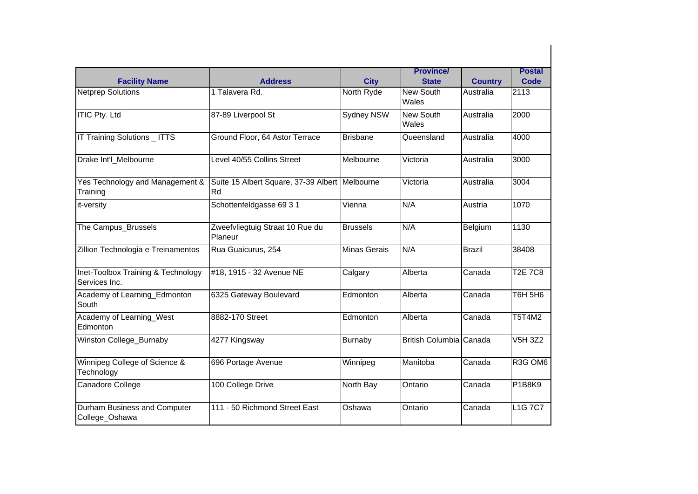| <b>Facility Name</b>                                | <b>Address</b>                                       | <b>City</b>         | <b>Province/</b><br><b>State</b> | <b>Country</b> | <b>Postal</b><br>Code |
|-----------------------------------------------------|------------------------------------------------------|---------------------|----------------------------------|----------------|-----------------------|
| <b>Netprep Solutions</b>                            | 1 Talavera Rd.                                       | North Ryde          | <b>New South</b><br>Wales        | Australia      | 2113                  |
| <b>ITIC Pty. Ltd</b>                                | 87-89 Liverpool St                                   | Sydney NSW          | New South<br>Wales               | Australia      | 2000                  |
| IT Training Solutions _ ITTS                        | Ground Floor, 64 Astor Terrace                       | <b>Brisbane</b>     | Queensland                       | Australia      | 4000                  |
| Drake Int'l_Melbourne                               | Level 40/55 Collins Street                           | Melbourne           | Victoria                         | Australia      | 3000                  |
| Yes Technology and Management &<br>Training         | Suite 15 Albert Square, 37-39 Albert Melbourne<br>Rd |                     | Victoria                         | Australia      | 3004                  |
| it-versity                                          | Schottenfeldgasse 69 3 1                             | Vienna              | N/A                              | Austria        | 1070                  |
| The Campus_Brussels                                 | Zweefvliegtuig Straat 10 Rue du<br>Planeur           | <b>Brussels</b>     | N/A                              | Belgium        | 1130                  |
| Zillion Technologia e Treinamentos                  | Rua Guaicurus, 254                                   | <b>Minas Gerais</b> | N/A                              | <b>Brazil</b>  | 38408                 |
| Inet-Toolbox Training & Technology<br>Services Inc. | #18, 1915 - 32 Avenue NE                             | Calgary             | Alberta                          | Canada         | <b>T2E 7C8</b>        |
| Academy of Learning_Edmonton<br>South               | 6325 Gateway Boulevard                               | Edmonton            | Alberta                          | Canada         | <b>T6H 5H6</b>        |
| Academy of Learning_West<br>Edmonton                | 8882-170 Street                                      | Edmonton            | Alberta                          | Canada         | <b>T5T4M2</b>         |
| Winston College_Burnaby                             | 4277 Kingsway                                        | Burnaby             | British Columbia Canada          |                | V5H 3Z2               |
| Winnipeg College of Science &<br>Technology         | 696 Portage Avenue                                   | Winnipeg            | Manitoba                         | Canada         | R3G OM6               |
| Canadore College                                    | 100 College Drive                                    | North Bay           | Ontario                          | Canada         | <b>P1B8K9</b>         |
| Durham Business and Computer<br>College_Oshawa      | 111 - 50 Richmond Street East                        | Oshawa              | Ontario                          | Canada         | <b>L1G7C7</b>         |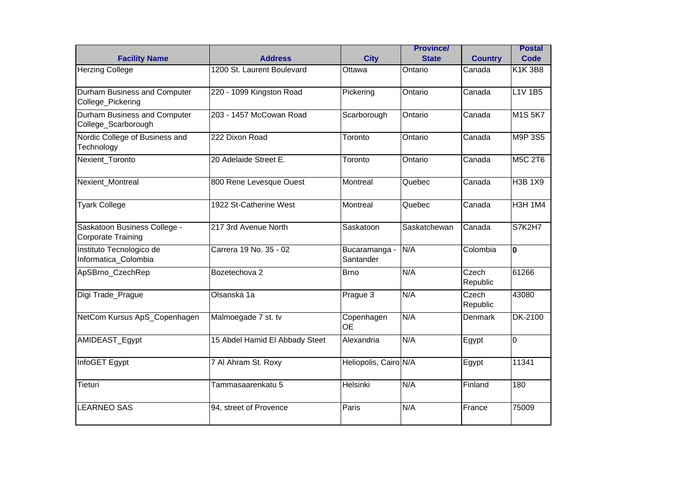| <b>Facility Name</b>                                | <b>Address</b>                 | <b>City</b>                | <b>Province/</b><br><b>State</b> | <b>Country</b>    | <b>Postal</b><br>Code |
|-----------------------------------------------------|--------------------------------|----------------------------|----------------------------------|-------------------|-----------------------|
| <b>Herzing College</b>                              | 1200 St. Laurent Boulevard     | Ottawa                     | Ontario                          | Canada            | $\overline{K}$ 1K 3B8 |
| Durham Business and Computer<br>College_Pickering   | 220 - 1099 Kingston Road       | Pickering                  | Ontario                          | Canada            | $L1V$ 1B5             |
| Durham Business and Computer<br>College_Scarborough | 203 - 1457 McCowan Road        | Scarborough                | Ontario                          | Canada            | <b>M1S 5K7</b>        |
| Nordic College of Business and<br>Technology        | 222 Dixon Road                 | Toronto                    | Ontario                          | Canada            | M9P 3S5               |
| Nexient_Toronto                                     | 20 Adelaide Street E.          | Toronto                    | Ontario                          | Canada            | <b>M5C 2T6</b>        |
| Nexient_Montreal                                    | 800 Rene Levesque Ouest        | Montreal                   | Quebec                           | Canada            | <b>H3B 1X9</b>        |
| <b>Tyark College</b>                                | 1922 St-Catherine West         | Montreal                   | Quebec                           | Canada            | <b>H3H 1M4</b>        |
| Saskatoon Business College -<br>Corporate Training  | 217 3rd Avenue North           | Saskatoon                  | Saskatchewan                     | Canada            | S7K2H7                |
| Instituto Tecnologico de<br>Informatica Colombia    | Carrera 19 No. 35 - 02         | Bucaramanga -<br>Santander | N/A                              | Colombia          | $\mathbf 0$           |
| ApSBrno_CzechRep                                    | Bozetechova 2                  | <b>Brno</b>                | N/A                              | Czech<br>Republic | 61266                 |
| Digi Trade_Prague                                   | Olsanská 1a                    | Prague 3                   | N/A                              | Czech<br>Republic | 43080                 |
| NetCom Kursus ApS_Copenhagen                        | Malmoegade 7 st. tv            | Copenhagen<br><b>OE</b>    | N/A                              | <b>Denmark</b>    | <b>DK-2100</b>        |
| AMIDEAST_Egypt                                      | 15 Abdel Hamid El Abbady Steet | Alexandria                 | N/A                              | Egypt             | $\overline{0}$        |
| InfoGET Egypt                                       | 7 Al Ahram St. Roxy            | Heliopolis, Cairo N/A      |                                  | Egypt             | 11341                 |
| Tieturi                                             | Tammasaarenkatu 5              | Helsinki                   | N/A                              | Finland           | 180                   |
| <b>LEARNEO SAS</b>                                  | 94, street of Provence         | Paris                      | N/A                              | France            | 75009                 |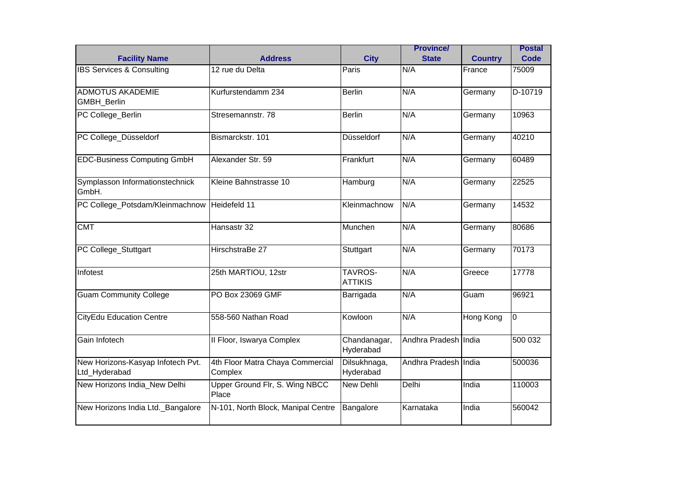| <b>Facility Name</b>                               | <b>Address</b>                              | <b>City</b>                      | <b>Province/</b><br><b>State</b> | <b>Country</b> | <b>Postal</b><br>Code |
|----------------------------------------------------|---------------------------------------------|----------------------------------|----------------------------------|----------------|-----------------------|
| IBS Services & Consulting                          | 12 rue du Delta                             | Paris                            | N/A                              | France         | 75009                 |
| <b>ADMOTUS AKADEMIE</b><br>GMBH_Berlin             | Kurfurstendamm 234                          | Berlin                           | N/A                              | Germany        | D-10719               |
| PC College_Berlin                                  | Stresemannstr. 78                           | <b>Berlin</b>                    | N/A                              | Germany        | 10963                 |
| PC College_Düsseldorf                              | Bismarckstr. 101                            | Düsseldorf                       | N/A                              | Germany        | 40210                 |
| <b>EDC-Business Computing GmbH</b>                 | Alexander Str. 59                           | Frankfurt                        | N/A                              | Germany        | 60489                 |
| Symplasson Informationstechnick<br>GmbH.           | Kleine Bahnstrasse 10                       | Hamburg                          | N/A                              | Germany        | 22525                 |
| PC College_Potsdam/Kleinmachnow                    | Heidefeld 11                                | Kleinmachnow                     | N/A                              | Germany        | 14532                 |
| <b>CMT</b>                                         | Hansastr 32                                 | Munchen                          | N/A                              | Germany        | 80686                 |
| PC College_Stuttgart                               | HirschstraBe 27                             | Stuttgart                        | N/A                              | Germany        | 70173                 |
| Infotest                                           | 25th MARTIOU, 12str                         | <b>TAVROS-</b><br><b>ATTIKIS</b> | N/A                              | Greece         | 17778                 |
| <b>Guam Community College</b>                      | PO Box 23069 GMF                            | Barrigada                        | N/A                              | Guam           | 96921                 |
| <b>CityEdu Education Centre</b>                    | 558-560 Nathan Road                         | Kowloon                          | N/A                              | Hong Kong      | $\overline{0}$        |
| Gain Infotech                                      | Il Floor, Iswarya Complex                   | Chandanagar,<br>Hyderabad        | Andhra Pradesh India             |                | 500 032               |
| New Horizons-Kasyap Infotech Pvt.<br>Ltd_Hyderabad | 4th Floor Matra Chaya Commercial<br>Complex | Dilsukhnaga,<br>Hyderabad        | Andhra Pradesh India             |                | 500036                |
| New Horizons India_New Delhi                       | Upper Ground Flr, S. Wing NBCC<br>Place     | New Dehli                        | Delhi                            | India          | 110003                |
| New Horizons India Ltd._Bangalore                  | N-101, North Block, Manipal Centre          | Bangalore                        | Karnataka                        | India          | 560042                |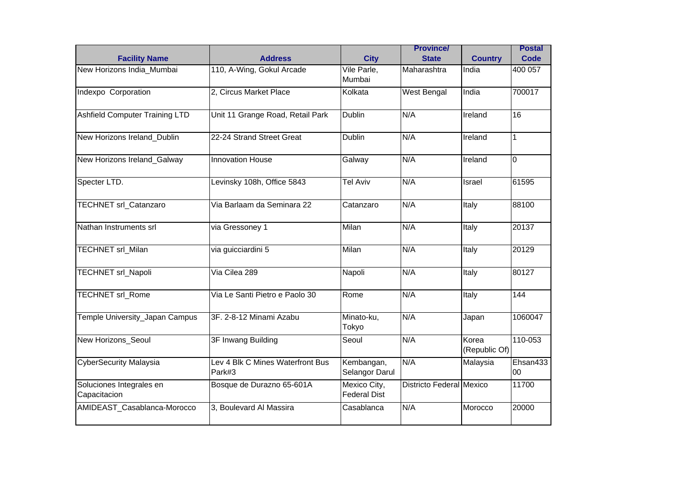| <b>Facility Name</b>                     | <b>Address</b>                             | <b>City</b>                         | <b>Province/</b><br><b>State</b> | <b>Country</b>         | <b>Postal</b><br>Code |
|------------------------------------------|--------------------------------------------|-------------------------------------|----------------------------------|------------------------|-----------------------|
| New Horizons India Mumbai                | 110, A-Wing, Gokul Arcade                  | Vile Parle,<br>Mumbai               | Maharashtra                      | India                  | 400 057               |
| Indexpo Corporation                      | 2, Circus Market Place                     | Kolkata                             | <b>West Bengal</b>               | India                  | 700017                |
| <b>Ashfield Computer Training LTD</b>    | Unit 11 Grange Road, Retail Park           | <b>Dublin</b>                       | N/A                              | Ireland                | 16                    |
| New Horizons Ireland_Dublin              | 22-24 Strand Street Great                  | <b>Dublin</b>                       | N/A                              | Ireland                | $\mathbf{1}$          |
| New Horizons Ireland_Galway              | <b>Innovation House</b>                    | Galway                              | N/A                              | Ireland                | $\overline{0}$        |
| Specter LTD.                             | Levinsky 108h, Office 5843                 | <b>Tel Aviv</b>                     | N/A                              | Israel                 | 61595                 |
| TECHNET srl_Catanzaro                    | Via Barlaam da Seminara 22                 | Catanzaro                           | N/A                              | Italy                  | 88100                 |
| Nathan Instruments srl                   | via Gressoney 1                            | Milan                               | N/A                              | Italy                  | 20137                 |
| TECHNET srl_Milan                        | via guicciardini 5                         | Milan                               | N/A                              | Italy                  | 20129                 |
| <b>TECHNET srl_Napoli</b>                | Via Cilea 289                              | Napoli                              | N/A                              | Italy                  | 80127                 |
| <b>TECHNET srl_Rome</b>                  | Via Le Santi Pietro e Paolo 30             | Rome                                | N/A                              | Italy                  | 144                   |
| Temple University_Japan Campus           | 3F. 2-8-12 Minami Azabu                    | Minato-ku,<br>Tokyo                 | N/A                              | Japan                  | 1060047               |
| New Horizons_Seoul                       | 3F Inwang Building                         | Seoul                               | N/A                              | Korea<br>(Republic Of) | 110-053               |
| <b>CyberSecurity Malaysia</b>            | Lev 4 Blk C Mines Waterfront Bus<br>Park#3 | Kembangan,<br>Selangor Darul        | N/A                              | Malaysia               | Ehsan433<br>00        |
| Soluciones Integrales en<br>Capacitacion | Bosque de Durazno 65-601A                  | Mexico City,<br><b>Federal Dist</b> | <b>Districto Federal Mexico</b>  |                        | 11700                 |
| AMIDEAST_Casablanca-Morocco              | 3, Boulevard Al Massira                    | Casablanca                          | N/A                              | Morocco                | 20000                 |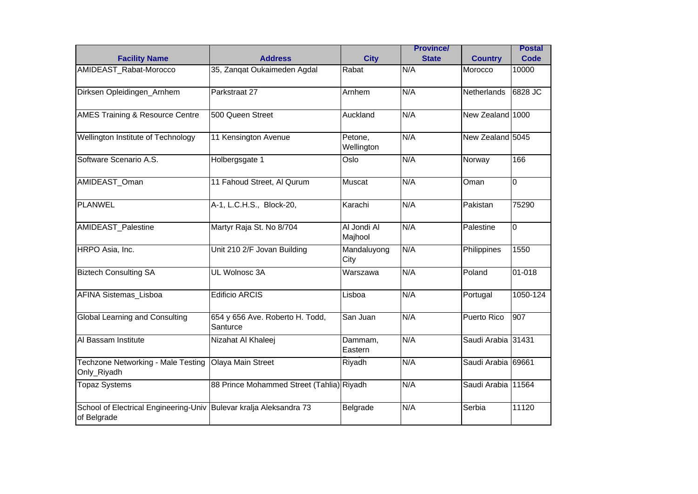|                                                      |                                             |                        | <b>Province/</b> |                    | <b>Postal</b>        |
|------------------------------------------------------|---------------------------------------------|------------------------|------------------|--------------------|----------------------|
| <b>Facility Name</b>                                 | <b>Address</b>                              | <b>City</b>            | <b>State</b>     | <b>Country</b>     | Code                 |
| AMIDEAST_Rabat-Morocco                               | 35, Zangat Oukaimeden Agdal                 | Rabat                  | N/A              | Morocco            | 10000                |
| Dirksen Opleidingen_Arnhem                           | Parkstraat 27                               | Arnhem                 | N/A              | <b>Netherlands</b> | 6828 JC              |
| <b>AMES Training &amp; Resource Centre</b>           | 500 Queen Street                            | Auckland               | N/A              | New Zealand 1000   |                      |
| Wellington Institute of Technology                   | 11 Kensington Avenue                        | Petone,<br>Wellington  | N/A              | New Zealand 5045   |                      |
| Software Scenario A.S.                               | Holbergsgate 1                              | Oslo                   | N/A              | Norway             | 166                  |
| AMIDEAST_Oman                                        | 11 Fahoud Street, Al Qurum                  | Muscat                 | N/A              | Oman               | $\Omega$             |
| <b>PLANWEL</b>                                       | A-1, L.C.H.S., Block-20,                    | Karachi                | N/A              | Pakistan           | 75290                |
| AMIDEAST_Palestine                                   | Martyr Raja St. No 8/704                    | Al Jondi Al<br>Majhool | N/A              | Palestine          | $\overline{0}$       |
| HRPO Asia, Inc.                                      | Unit 210 2/F Jovan Building                 | Mandaluyong<br>City    | N/A              | Philippines        | 1550                 |
| <b>Biztech Consulting SA</b>                         | UL Wolnosc 3A                               | Warszawa               | N/A              | Poland             | $\overline{01}$ -018 |
| AFINA Sistemas_Lisboa                                | <b>Edificio ARCIS</b>                       | Lisboa                 | N/A              | Portugal           | 1050-124             |
| <b>Global Learning and Consulting</b>                | 654 y 656 Ave. Roberto H. Todd,<br>Santurce | San Juan               | N/A              | Puerto Rico        | $\overline{907}$     |
| Al Bassam Institute                                  | Nizahat Al Khaleej                          | Dammam,<br>Eastern     | N/A              | Saudi Arabia 31431 |                      |
| Techzone Networking - Male Testing<br>Only_Riyadh    | Olaya Main Street                           | Riyadh                 | N/A              | Saudi Arabia 69661 |                      |
| <b>Topaz Systems</b>                                 | 88 Prince Mohammed Street (Tahlia) Riyadh   |                        | N/A              | Saudi Arabia 11564 |                      |
| School of Electrical Engineering-Univ<br>of Belgrade | Bulevar kralja Aleksandra 73                | Belgrade               | N/A              | Serbia             | 11120                |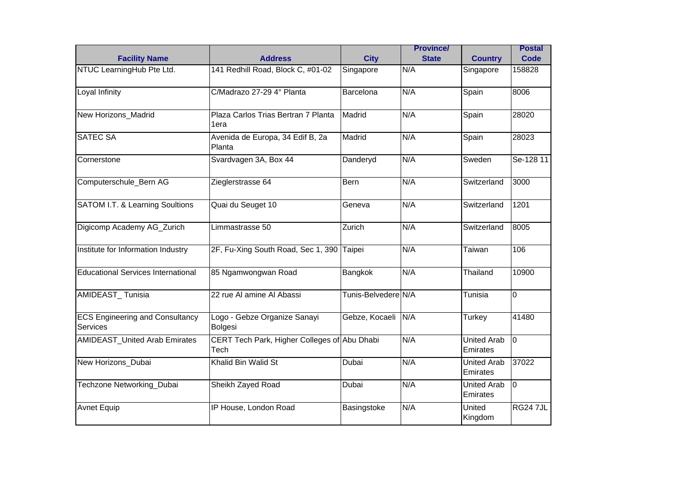|                                                    |                                                      |                     | <b>Province/</b> |                                | <b>Postal</b>   |
|----------------------------------------------------|------------------------------------------------------|---------------------|------------------|--------------------------------|-----------------|
| <b>Facility Name</b>                               | <b>Address</b>                                       | <b>City</b>         | <b>State</b>     | <b>Country</b>                 | Code            |
| NTUC LearningHub Pte Ltd.                          | 141 Redhill Road, Block C, #01-02                    | Singapore           | N/A              | Singapore                      | 158828          |
| Loyal Infinity                                     | C/Madrazo 27-29 4° Planta                            | Barcelona           | N/A              | Spain                          | 8006            |
| New Horizons_Madrid                                | Plaza Carlos Trias Bertran 7 Planta<br>1era          | Madrid              | N/A              | Spain                          | 28020           |
| <b>SATEC SA</b>                                    | Avenida de Europa, 34 Edif B, 2a<br>Planta           | Madrid              | N/A              | Spain                          | 28023           |
| Cornerstone                                        | Svardvagen 3A, Box 44                                | Danderyd            | N/A              | Sweden                         | Se-128 11       |
| Computerschule_Bern AG                             | Zieglerstrasse 64                                    | Bern                | N/A              | Switzerland                    | 3000            |
| SATOM I.T. & Learning Soultions                    | Quai du Seuget 10                                    | Geneva              | N/A              | Switzerland                    | 1201            |
| Digicomp Academy AG_Zurich                         | Limmastrasse 50                                      | Zurich              | N/A              | Switzerland                    | 8005            |
| Institute for Information Industry                 | 2F, Fu-Xing South Road, Sec 1, 390 Taipei            |                     | N/A              | Taiwan                         | 106             |
| <b>Educational Services International</b>          | 85 Ngamwongwan Road                                  | Bangkok             | N/A              | Thailand                       | 10900           |
| AMIDEAST_Tunisia                                   | 22 rue Al amine Al Abassi                            | Tunis-Belvedere N/A |                  | Tunisia                        | $\overline{0}$  |
| <b>ECS Engineering and Consultancy</b><br>Services | Logo - Gebze Organize Sanayi<br>Bolgesi              | Gebze, Kocaeli      | N/A              | Turkey                         | 41480           |
| <b>AMIDEAST_United Arab Emirates</b>               | CERT Tech Park, Higher Colleges of Abu Dhabi<br>Tech |                     | N/A              | <b>United Arab</b><br>Emirates | Iо              |
| New Horizons Dubai                                 | Khalid Bin Walid St                                  | Dubai               | N/A              | <b>United Arab</b><br>Emirates | 37022           |
| Techzone Networking_Dubai                          | Sheikh Zayed Road                                    | Dubai               | N/A              | <b>United Arab</b><br>Emirates | Iо              |
| <b>Avnet Equip</b>                                 | IP House, London Road                                | Basingstoke         | N/A              | United<br>Kingdom              | <b>RG24 7JL</b> |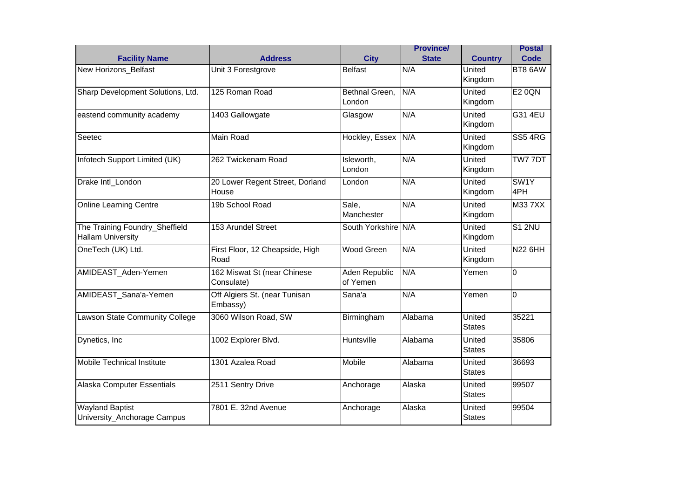|                                                            |                                           |                           | <b>Province/</b> |                          | <b>Postal</b>  |
|------------------------------------------------------------|-------------------------------------------|---------------------------|------------------|--------------------------|----------------|
| <b>Facility Name</b>                                       | <b>Address</b>                            | <b>City</b>               | <b>State</b>     | <b>Country</b>           | Code           |
| New Horizons_Belfast                                       | Unit 3 Forestgrove                        | <b>Belfast</b>            | N/A              | United<br>Kingdom        | BT8 6AW        |
| Sharp Development Solutions, Ltd.                          | 125 Roman Road                            | Bethnal Green,<br>London  | N/A              | United<br>Kingdom        | <b>E2 0QN</b>  |
| eastend community academy                                  | 1403 Gallowgate                           | Glasgow                   | N/A              | <b>United</b><br>Kingdom | G31 4EU        |
| Seetec                                                     | Main Road                                 | Hockley, Essex            | N/A              | United<br>Kingdom        | <b>SS5 4RG</b> |
| Infotech Support Limited (UK)                              | 262 Twickenam Road                        | Isleworth,<br>London      | N/A              | United<br>Kingdom        | TW7 7DT        |
| Drake Intl_London                                          | 20 Lower Regent Street, Dorland<br>House  | London                    | N/A              | United<br>Kingdom        | SW1Y<br>4PH    |
| <b>Online Learning Centre</b>                              | 19b School Road                           | Sale,<br>Manchester       | N/A              | United<br>Kingdom        | <b>M337XX</b>  |
| The Training Foundry_Sheffield<br><b>Hallam University</b> | 153 Arundel Street                        | South Yorkshire N/A       |                  | <b>United</b><br>Kingdom | <b>S1 2NU</b>  |
| OneTech (UK) Ltd.                                          | First Floor, 12 Cheapside, High<br>Road   | <b>Wood Green</b>         | N/A              | United<br>Kingdom        | <b>N22 6HH</b> |
| AMIDEAST_Aden-Yemen                                        | 162 Miswat St (near Chinese<br>Consulate) | Aden Republic<br>of Yemen | N/A              | Yemen                    | $\Omega$       |
| AMIDEAST_Sana'a-Yemen                                      | Off Algiers St. (near Tunisan<br>Embassy) | Sana'a                    | N/A              | Yemen                    | $\Omega$       |
| Lawson State Community College                             | 3060 Wilson Road, SW                      | Birmingham                | Alabama          | United<br><b>States</b>  | 35221          |
| Dynetics, Inc                                              | 1002 Explorer Blvd.                       | Huntsville                | Alabama          | United<br><b>States</b>  | 35806          |
| <b>Mobile Technical Institute</b>                          | 1301 Azalea Road                          | <b>Mobile</b>             | Alabama          | United<br><b>States</b>  | 36693          |
| Alaska Computer Essentials                                 | 2511 Sentry Drive                         | Anchorage                 | Alaska           | United<br><b>States</b>  | 99507          |
| <b>Wayland Baptist</b><br>University_Anchorage Campus      | 7801 E. 32nd Avenue                       | Anchorage                 | Alaska           | United<br><b>States</b>  | 99504          |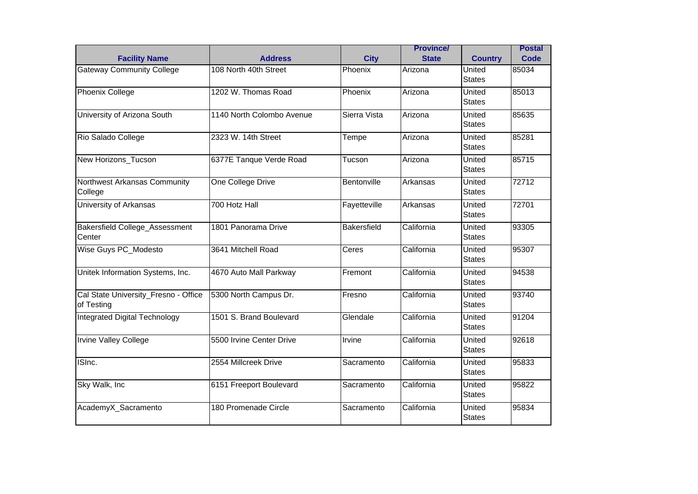| <b>Facility Name</b>                               | <b>Address</b>            | <b>City</b>  | <b>Province/</b><br><b>State</b> | <b>Country</b>          | <b>Postal</b><br>Code |
|----------------------------------------------------|---------------------------|--------------|----------------------------------|-------------------------|-----------------------|
| <b>Gateway Community College</b>                   | 108 North 40th Street     | Phoenix      | Arizona                          | United<br><b>States</b> | 85034                 |
| <b>Phoenix College</b>                             | 1202 W. Thomas Road       | Phoenix      | Arizona                          | United<br><b>States</b> | 85013                 |
| University of Arizona South                        | 1140 North Colombo Avenue | Sierra Vista | Arizona                          | United<br><b>States</b> | 85635                 |
| Rio Salado College                                 | 2323 W. 14th Street       | Tempe        | Arizona                          | United<br><b>States</b> | 85281                 |
| New Horizons_Tucson                                | 6377E Tanque Verde Road   | Tucson       | Arizona                          | United<br><b>States</b> | 85715                 |
| Northwest Arkansas Community<br>College            | One College Drive         | Bentonville  | Arkansas                         | United<br><b>States</b> | 72712                 |
| University of Arkansas                             | 700 Hotz Hall             | Fayetteville | Arkansas                         | United<br><b>States</b> | 72701                 |
| Bakersfield College_Assessment<br>Center           | 1801 Panorama Drive       | Bakersfield  | California                       | United<br><b>States</b> | 93305                 |
| Wise Guys PC_Modesto                               | 3641 Mitchell Road        | Ceres        | California                       | United<br><b>States</b> | 95307                 |
| Unitek Information Systems, Inc.                   | 4670 Auto Mall Parkway    | Fremont      | California                       | United<br><b>States</b> | 94538                 |
| Cal State University_Fresno - Office<br>of Testing | 5300 North Campus Dr.     | Fresno       | California                       | United<br>States        | 93740                 |
| <b>Integrated Digital Technology</b>               | 1501 S. Brand Boulevard   | Glendale     | California                       | United<br><b>States</b> | 91204                 |
| Irvine Valley College                              | 5500 Irvine Center Drive  | Irvine       | California                       | United<br><b>States</b> | 92618                 |
| ISInc.                                             | 2554 Millcreek Drive      | Sacramento   | California                       | United<br><b>States</b> | 95833                 |
| Sky Walk, Inc                                      | 6151 Freeport Boulevard   | Sacramento   | California                       | United<br><b>States</b> | 95822                 |
| AcademyX_Sacramento                                | 180 Promenade Circle      | Sacramento   | California                       | United<br><b>States</b> | 95834                 |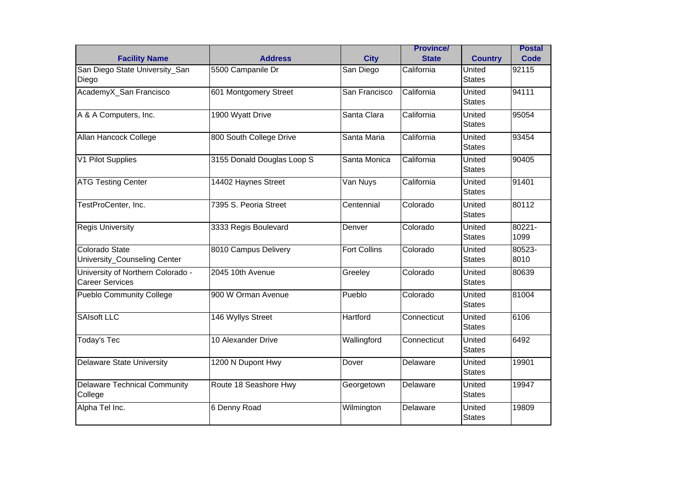|                                                             |                            |                     | <b>Province/</b> |                                | <b>Postal</b>  |
|-------------------------------------------------------------|----------------------------|---------------------|------------------|--------------------------------|----------------|
| <b>Facility Name</b>                                        | <b>Address</b>             | <b>City</b>         | <b>State</b>     | <b>Country</b>                 | Code           |
| San Diego State University_San<br>Diego                     | 5500 Campanile Dr          | San Diego           | California       | United<br><b>States</b>        | 92115          |
| AcademyX_San Francisco                                      | 601 Montgomery Street      | San Francisco       | California       | United<br><b>States</b>        | 94111          |
| A & A Computers, Inc.                                       | 1900 Wyatt Drive           | Santa Clara         | California       | United<br><b>States</b>        | 95054          |
| Allan Hancock College                                       | 800 South College Drive    | Santa Maria         | California       | United<br><b>States</b>        | 93454          |
| V1 Pilot Supplies                                           | 3155 Donald Douglas Loop S | Santa Monica        | California       | United<br><b>States</b>        | 90405          |
| <b>ATG Testing Center</b>                                   | 14402 Haynes Street        | Van Nuys            | California       | United<br><b>States</b>        | 91401          |
| TestProCenter, Inc.                                         | 7395 S. Peoria Street      | Centennial          | Colorado         | United<br><b>States</b>        | 80112          |
| <b>Regis University</b>                                     | 3333 Regis Boulevard       | Denver              | Colorado         | United<br><b>States</b>        | 80221-<br>1099 |
| Colorado State<br>University_Counseling Center              | 8010 Campus Delivery       | <b>Fort Collins</b> | Colorado         | United<br><b>States</b>        | 80523-<br>8010 |
| University of Northern Colorado -<br><b>Career Services</b> | 2045 10th Avenue           | Greeley             | Colorado         | United<br><b>States</b>        | 80639          |
| <b>Pueblo Community College</b>                             | 900 W Orman Avenue         | Pueblo              | Colorado         | United<br><b>States</b>        | 81004          |
| <b>SAIsoft LLC</b>                                          | 146 Wyllys Street          | Hartford            | Connecticut      | United<br><b>States</b>        | 6106           |
| <b>Today's Tec</b>                                          | 10 Alexander Drive         | Wallingford         | Connecticut      | <b>United</b><br><b>States</b> | 6492           |
| <b>Delaware State University</b>                            | 1200 N Dupont Hwy          | Dover               | Delaware         | United<br><b>States</b>        | 19901          |
| <b>Delaware Technical Community</b><br>College              | Route 18 Seashore Hwy      | Georgetown          | Delaware         | United<br><b>States</b>        | 19947          |
| Alpha Tel Inc.                                              | 6 Denny Road               | Wilmington          | Delaware         | United<br><b>States</b>        | 19809          |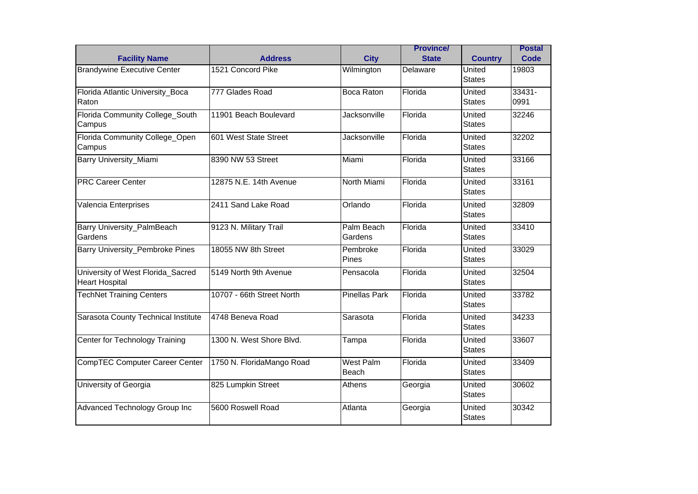| <b>Facility Name</b>                                       | <b>Address</b>            | <b>City</b>               | <b>Province/</b><br><b>State</b> | <b>Country</b>          | <b>Postal</b><br>Code |
|------------------------------------------------------------|---------------------------|---------------------------|----------------------------------|-------------------------|-----------------------|
| <b>Brandywine Executive Center</b>                         | 1521 Concord Pike         | Wilmington                | Delaware                         | United<br><b>States</b> | 19803                 |
| Florida Atlantic University_Boca<br>Raton                  | 777 Glades Road           | <b>Boca Raton</b>         | Florida                          | United<br><b>States</b> | $33431 -$<br>0991     |
| Florida Community College South<br>Campus                  | 11901 Beach Boulevard     | Jacksonville              | Florida                          | United<br><b>States</b> | 32246                 |
| Florida Community College_Open<br>Campus                   | 601 West State Street     | Jacksonville              | Florida                          | United<br><b>States</b> | 32202                 |
| <b>Barry University_Miami</b>                              | 8390 NW 53 Street         | Miami                     | Florida                          | United<br><b>States</b> | 33166                 |
| <b>PRC Career Center</b>                                   | 12875 N.E. 14th Avenue    | North Miami               | Florida                          | United<br><b>States</b> | 33161                 |
| Valencia Enterprises                                       | 2411 Sand Lake Road       | Orlando                   | Florida                          | United<br><b>States</b> | 32809                 |
| Barry University_PalmBeach<br>Gardens                      | 9123 N. Military Trail    | Palm Beach<br>Gardens     | Florida                          | United<br><b>States</b> | 33410                 |
| <b>Barry University_Pembroke Pines</b>                     | 18055 NW 8th Street       | Pembroke<br>Pines         | Florida                          | United<br><b>States</b> | 33029                 |
| University of West Florida_Sacred<br><b>Heart Hospital</b> | 5149 North 9th Avenue     | Pensacola                 | Florida                          | United<br><b>States</b> | 32504                 |
| <b>TechNet Training Centers</b>                            | 10707 - 66th Street North | <b>Pinellas Park</b>      | Florida                          | United<br><b>States</b> | 33782                 |
| Sarasota County Technical Institute                        | 4748 Beneva Road          | Sarasota                  | Florida                          | United<br><b>States</b> | 34233                 |
| Center for Technology Training                             | 1300 N. West Shore Blvd.  | Tampa                     | Florida                          | United<br><b>States</b> | 33607                 |
| <b>CompTEC Computer Career Center</b>                      | 1750 N. FloridaMango Road | <b>West Palm</b><br>Beach | Florida                          | United<br><b>States</b> | 33409                 |
| University of Georgia                                      | 825 Lumpkin Street        | Athens                    | Georgia                          | United<br><b>States</b> | 30602                 |
| Advanced Technology Group Inc                              | 5600 Roswell Road         | Atlanta                   | Georgia                          | United<br><b>States</b> | 30342                 |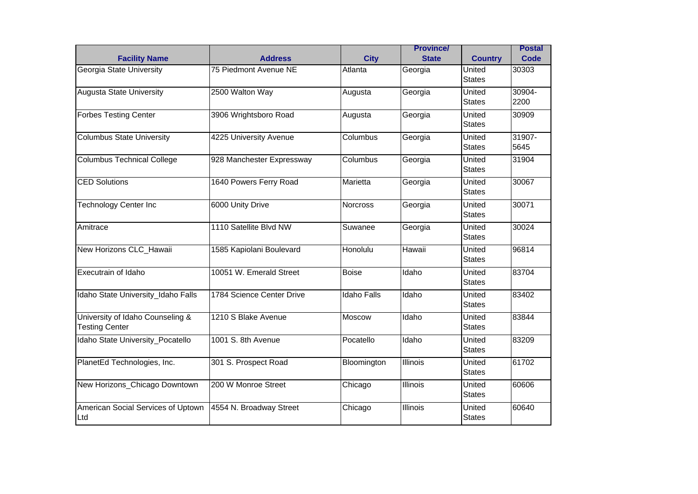| <b>Facility Name</b>                                      | <b>Address</b>            | <b>City</b>        | <b>Province/</b><br><b>State</b> | <b>Country</b>          | <b>Postal</b><br>Code |
|-----------------------------------------------------------|---------------------------|--------------------|----------------------------------|-------------------------|-----------------------|
| Georgia State University                                  | 75 Piedmont Avenue NE     | Atlanta            | Georgia                          | United<br><b>States</b> | 30303                 |
| <b>Augusta State University</b>                           | 2500 Walton Way           | Augusta            | Georgia                          | United<br><b>States</b> | 30904-<br>2200        |
| <b>Forbes Testing Center</b>                              | 3906 Wrightsboro Road     | Augusta            | Georgia                          | United<br><b>States</b> | 30909                 |
| Columbus State University                                 | 4225 University Avenue    | Columbus           | Georgia                          | United<br><b>States</b> | 31907-<br>5645        |
| <b>Columbus Technical College</b>                         | 928 Manchester Expressway | Columbus           | Georgia                          | United<br><b>States</b> | 31904                 |
| <b>CED Solutions</b>                                      | 1640 Powers Ferry Road    | Marietta           | Georgia                          | United<br><b>States</b> | 30067                 |
| <b>Technology Center Inc</b>                              | 6000 Unity Drive          | Norcross           | Georgia                          | United<br><b>States</b> | 30071                 |
| Amitrace                                                  | 1110 Satellite Blvd NW    | Suwanee            | Georgia                          | United<br><b>States</b> | 30024                 |
| New Horizons CLC_Hawaii                                   | 1585 Kapiolani Boulevard  | Honolulu           | Hawaii                           | United<br><b>States</b> | 96814                 |
| Executrain of Idaho                                       | 10051 W. Emerald Street   | <b>Boise</b>       | Idaho                            | United<br><b>States</b> | 83704                 |
| Idaho State University Idaho Falls                        | 1784 Science Center Drive | <b>Idaho Falls</b> | Idaho                            | United<br><b>States</b> | 83402                 |
| University of Idaho Counseling &<br><b>Testing Center</b> | 1210 S Blake Avenue       | Moscow             | Idaho                            | United<br><b>States</b> | 83844                 |
| Idaho State University_Pocatello                          | 1001 S. 8th Avenue        | Pocatello          | Idaho                            | United<br><b>States</b> | 83209                 |
| PlanetEd Technologies, Inc.                               | 301 S. Prospect Road      | Bloomington        | Illinois                         | United<br><b>States</b> | 61702                 |
| New Horizons_Chicago Downtown                             | 200 W Monroe Street       | Chicago            | <b>Illinois</b>                  | United<br><b>States</b> | 60606                 |
| American Social Services of Uptown<br>Ltd                 | 4554 N. Broadway Street   | Chicago            | <b>Illinois</b>                  | United<br><b>States</b> | 60640                 |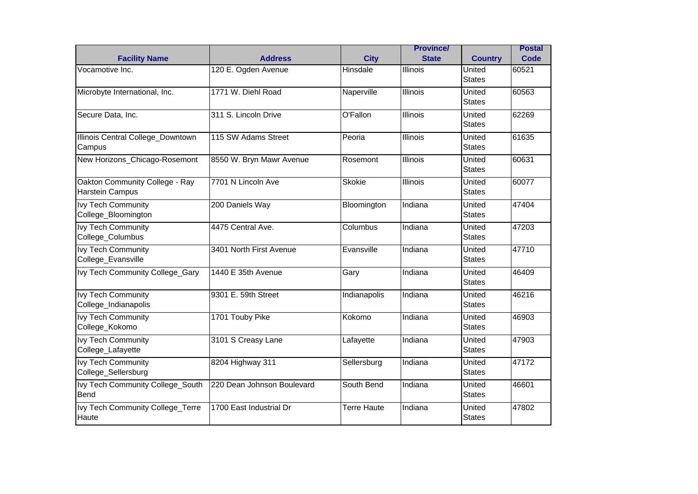| <b>Facility Name</b>                              | <b>Address</b>             | <b>City</b>        | <b>Province/</b><br><b>State</b> | <b>Country</b>          | <b>Postal</b><br>Code |
|---------------------------------------------------|----------------------------|--------------------|----------------------------------|-------------------------|-----------------------|
| Vocamotive Inc.                                   | 120 E. Ogden Avenue        | Hinsdale           | <b>Illinois</b>                  | United<br><b>States</b> | 60521                 |
| Microbyte International, Inc.                     | 1771 W. Diehl Road         | Naperville         | <b>Illinois</b>                  | United<br><b>States</b> | 60563                 |
| Secure Data, Inc.                                 | 311 S. Lincoln Drive       | O'Fallon           | Illinois                         | United<br><b>States</b> | 62269                 |
| Illinois Central College_Downtown<br>Campus       | 115 SW Adams Street        | Peoria             | <b>Illinois</b>                  | United<br><b>States</b> | 61635                 |
| New Horizons_Chicago-Rosemont                     | 8550 W. Bryn Mawr Avenue   | Rosemont           | <b>Illinois</b>                  | United<br><b>States</b> | 60631                 |
| Oakton Community College - Ray<br>Harstein Campus | 7701 N Lincoln Ave         | <b>Skokie</b>      | Illinois                         | United<br><b>States</b> | 60077                 |
| <b>Ivy Tech Community</b><br>College_Bloomington  | 200 Daniels Way            | Bloomington        | Indiana                          | United<br><b>States</b> | 47404                 |
| Ivy Tech Community<br>College_Columbus            | 4475 Central Ave.          | Columbus           | Indiana                          | United<br><b>States</b> | 47203                 |
| <b>Ivy Tech Community</b><br>College_Evansville   | 3401 North First Avenue    | Evansville         | Indiana                          | United<br><b>States</b> | 47710                 |
| Ivy Tech Community College_Gary                   | 1440 E 35th Avenue         | Gary               | Indiana                          | United<br><b>States</b> | 46409                 |
| <b>Ivy Tech Community</b><br>College_Indianapolis | 9301 E. 59th Street        | Indianapolis       | Indiana                          | United<br><b>States</b> | 46216                 |
| <b>Ivy Tech Community</b><br>College_Kokomo       | 1701 Touby Pike            | Kokomo             | Indiana                          | United<br><b>States</b> | 46903                 |
| Ivy Tech Community<br>College_Lafayette           | 3101 S Creasy Lane         | Lafayette          | Indiana                          | United<br><b>States</b> | 47903                 |
| <b>Ivy Tech Community</b><br>College_Sellersburg  | 8204 Highway 311           | Sellersburg        | Indiana                          | United<br><b>States</b> | 47172                 |
| Ivy Tech Community College_South<br>Bend          | 220 Dean Johnson Boulevard | South Bend         | Indiana                          | United<br><b>States</b> | 46601                 |
| Ivy Tech Community College_Terre<br>Haute         | 1700 East Industrial Dr    | <b>Terre Haute</b> | Indiana                          | United<br><b>States</b> | 47802                 |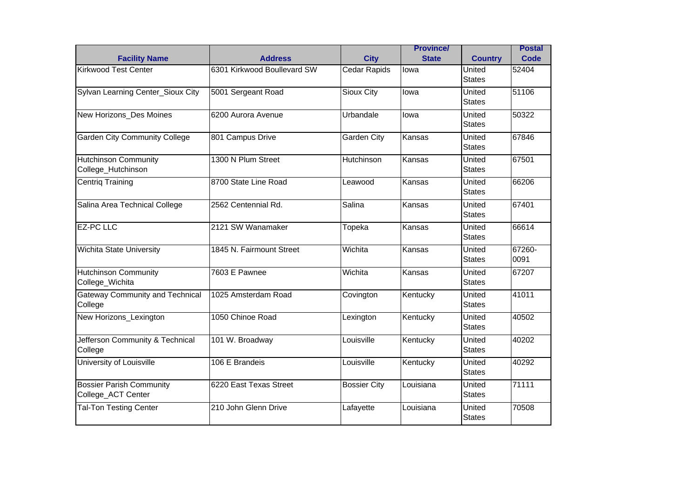|                                                       |                             |                     | <b>Province/</b> |                         | <b>Postal</b>  |
|-------------------------------------------------------|-----------------------------|---------------------|------------------|-------------------------|----------------|
| <b>Facility Name</b>                                  | <b>Address</b>              | <b>City</b>         | <b>State</b>     | <b>Country</b>          | Code           |
| <b>Kirkwood Test Center</b>                           | 6301 Kirkwood Boullevard SW | <b>Cedar Rapids</b> | lowa             | United<br><b>States</b> | 52404          |
| Sylvan Learning Center_Sioux City                     | 5001 Sergeant Road          | Sioux City          | lowa             | United<br><b>States</b> | 51106          |
| New Horizons Des Moines                               | 6200 Aurora Avenue          | Urbandale           | lowa             | United<br><b>States</b> | 50322          |
| <b>Garden City Community College</b>                  | 801 Campus Drive            | Garden City         | Kansas           | United<br><b>States</b> | 67846          |
| <b>Hutchinson Community</b><br>College_Hutchinson     | 1300 N Plum Street          | Hutchinson          | Kansas           | United<br><b>States</b> | 67501          |
| <b>Centrig Training</b>                               | 8700 State Line Road        | Leawood             | Kansas           | United<br><b>States</b> | 66206          |
| Salina Area Technical College                         | 2562 Centennial Rd.         | Salina              | Kansas           | United<br><b>States</b> | 67401          |
| <b>EZ-PC LLC</b>                                      | 2121 SW Wanamaker           | Topeka              | Kansas           | United<br><b>States</b> | 66614          |
| <b>Wichita State University</b>                       | 1845 N. Fairmount Street    | Wichita             | Kansas           | United<br><b>States</b> | 67260-<br>0091 |
| <b>Hutchinson Community</b><br>College_Wichita        | 7603 E Pawnee               | Wichita             | Kansas           | United<br><b>States</b> | 67207          |
| <b>Gateway Community and Technical</b><br>College     | 1025 Amsterdam Road         | Covington           | Kentucky         | United<br><b>States</b> | 41011          |
| New Horizons_Lexington                                | 1050 Chinoe Road            | Lexington           | Kentucky         | United<br><b>States</b> | 40502          |
| Jefferson Community & Technical<br>College            | 101 W. Broadway             | Louisville          | Kentucky         | United<br><b>States</b> | 40202          |
| University of Louisville                              | 106 E Brandeis              | Louisville          | Kentucky         | United<br><b>States</b> | 40292          |
| <b>Bossier Parish Community</b><br>College_ACT Center | 6220 East Texas Street      | <b>Bossier City</b> | Louisiana        | United<br><b>States</b> | 71111          |
| <b>Tal-Ton Testing Center</b>                         | 210 John Glenn Drive        | Lafayette           | Louisiana        | United<br><b>States</b> | 70508          |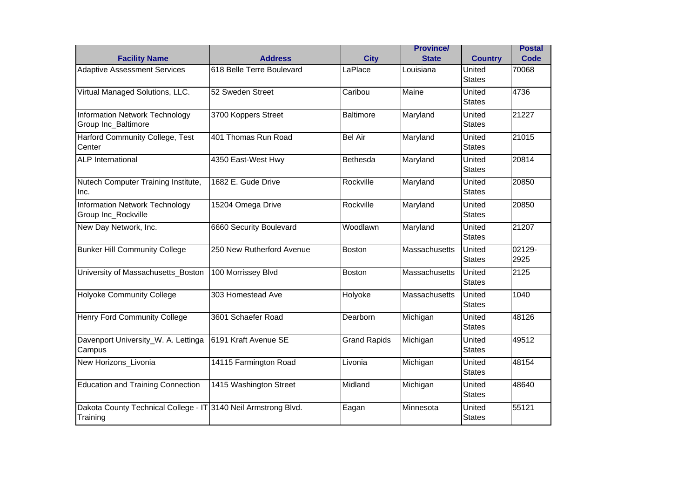|                                                                            | <b>Address</b>            | <b>City</b>         | <b>Province/</b><br><b>State</b> |                          | <b>Postal</b><br>Code |
|----------------------------------------------------------------------------|---------------------------|---------------------|----------------------------------|--------------------------|-----------------------|
| <b>Facility Name</b><br><b>Adaptive Assessment Services</b>                | 618 Belle Terre Boulevard | LaPlace             | Louisiana                        | <b>Country</b><br>United | 70068                 |
|                                                                            |                           |                     |                                  | <b>States</b>            |                       |
| Virtual Managed Solutions, LLC.                                            | 52 Sweden Street          | Caribou             | Maine                            | United<br><b>States</b>  | 4736                  |
| <b>Information Network Technology</b><br>Group Inc_Baltimore               | 3700 Koppers Street       | Baltimore           | Maryland                         | United<br><b>States</b>  | 21227                 |
| Harford Community College, Test<br>Center                                  | 401 Thomas Run Road       | <b>Bel Air</b>      | Maryland                         | United<br><b>States</b>  | 21015                 |
| <b>ALP</b> International                                                   | 4350 East-West Hwy        | Bethesda            | Maryland                         | United<br><b>States</b>  | 20814                 |
| Nutech Computer Training Institute,<br>Inc.                                | 1682 E. Gude Drive        | Rockville           | Maryland                         | United<br><b>States</b>  | 20850                 |
| <b>Information Network Technology</b><br>Group Inc_Rockville               | 15204 Omega Drive         | Rockville           | Maryland                         | United<br><b>States</b>  | 20850                 |
| New Day Network, Inc.                                                      | 6660 Security Boulevard   | Woodlawn            | Maryland                         | United<br><b>States</b>  | 21207                 |
| <b>Bunker Hill Community College</b>                                       | 250 New Rutherford Avenue | <b>Boston</b>       | Massachusetts                    | United<br><b>States</b>  | 02129-<br>2925        |
| University of Massachusetts_Boston                                         | 100 Morrissey Blvd        | <b>Boston</b>       | Massachusetts                    | United<br><b>States</b>  | 2125                  |
| <b>Holyoke Community College</b>                                           | 303 Homestead Ave         | Holyoke             | Massachusetts                    | United<br><b>States</b>  | 1040                  |
| <b>Henry Ford Community College</b>                                        | 3601 Schaefer Road        | Dearborn            | Michigan                         | United<br><b>States</b>  | 48126                 |
| Davenport University_W. A. Lettinga<br>Campus                              | 6191 Kraft Avenue SE      | <b>Grand Rapids</b> | Michigan                         | United<br><b>States</b>  | 49512                 |
| New Horizons Livonia                                                       | 14115 Farmington Road     | Livonia             | Michigan                         | United<br><b>States</b>  | 48154                 |
| <b>Education and Training Connection</b>                                   | 1415 Washington Street    | Midland             | Michigan                         | United<br><b>States</b>  | 48640                 |
| Dakota County Technical College - IT 3140 Neil Armstrong Blvd.<br>Training |                           | Eagan               | Minnesota                        | United<br><b>States</b>  | 55121                 |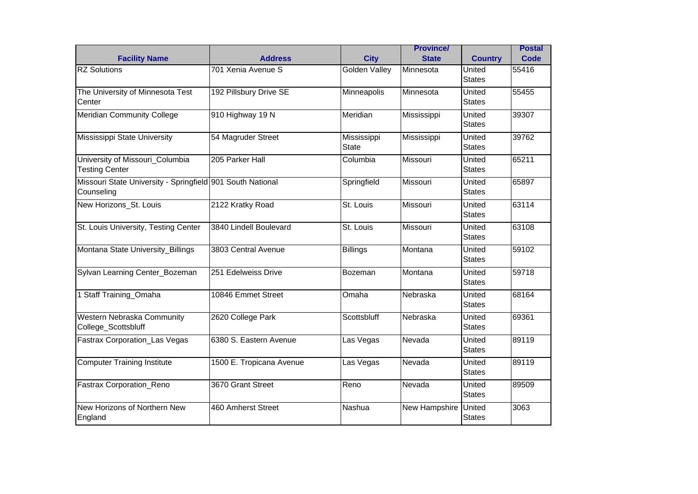|                                                                          |                          |                             | <b>Province/</b> |                                | <b>Postal</b> |
|--------------------------------------------------------------------------|--------------------------|-----------------------------|------------------|--------------------------------|---------------|
| <b>Facility Name</b>                                                     | <b>Address</b>           | <b>City</b>                 | <b>State</b>     | <b>Country</b>                 | Code          |
| <b>RZ Solutions</b>                                                      | 701 Xenia Avenue S       | <b>Golden Valley</b>        | Minnesota        | United<br><b>States</b>        | 55416         |
| The University of Minnesota Test<br>Center                               | 192 Pillsbury Drive SE   | Minneapolis                 | Minnesota        | United<br><b>States</b>        | 55455         |
| <b>Meridian Community College</b>                                        | 910 Highway 19 N         | Meridian                    | Mississippi      | United<br><b>States</b>        | 39307         |
| Mississippi State University                                             | 54 Magruder Street       | Mississippi<br><b>State</b> | Mississippi      | United<br><b>States</b>        | 39762         |
| University of Missouri_Columbia<br><b>Testing Center</b>                 | 205 Parker Hall          | Columbia                    | Missouri         | United<br><b>States</b>        | 65211         |
| Missouri State University - Springfield 901 South National<br>Counseling |                          | Springfield                 | <b>Missouri</b>  | United<br><b>States</b>        | 65897         |
| New Horizons_St. Louis                                                   | 2122 Kratky Road         | St. Louis                   | Missouri         | United<br><b>States</b>        | 63114         |
| St. Louis University, Testing Center                                     | 3840 Lindell Boulevard   | St. Louis                   | Missouri         | United<br><b>States</b>        | 63108         |
| Montana State University_Billings                                        | 3803 Central Avenue      | <b>Billings</b>             | Montana          | United<br><b>States</b>        | 59102         |
| Sylvan Learning Center_Bozeman                                           | 251 Edelweiss Drive      | Bozeman                     | Montana          | United<br><b>States</b>        | 59718         |
| 1 Staff Training_Omaha                                                   | 10846 Emmet Street       | Omaha                       | Nebraska         | United<br><b>States</b>        | 68164         |
| <b>Western Nebraska Community</b><br>College_Scottsbluff                 | 2620 College Park        | Scottsbluff                 | Nebraska         | United<br><b>States</b>        | 69361         |
| <b>Fastrax Corporation_Las Vegas</b>                                     | 6380 S. Eastern Avenue   | Las Vegas                   | Nevada           | United<br><b>States</b>        | 89119         |
| <b>Computer Training Institute</b>                                       | 1500 E. Tropicana Avenue | Las Vegas                   | Nevada           | United<br><b>States</b>        | 89119         |
| Fastrax Corporation_Reno                                                 | 3670 Grant Street        | Reno                        | Nevada           | United<br><b>States</b>        | 89509         |
| New Horizons of Northern New<br>England                                  | 460 Amherst Street       | Nashua                      | New Hampshire    | <b>United</b><br><b>States</b> | 3063          |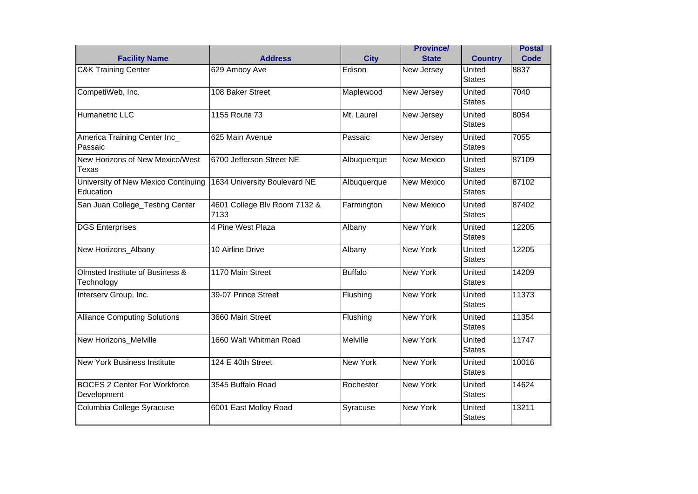|                                                    |                                      |                 | <b>Province/</b>  |                         | <b>Postal</b> |
|----------------------------------------------------|--------------------------------------|-----------------|-------------------|-------------------------|---------------|
| <b>Facility Name</b>                               | <b>Address</b>                       | <b>City</b>     | <b>State</b>      | <b>Country</b>          | Code          |
| <b>C&amp;K Training Center</b>                     | 629 Amboy Ave                        | Edison          | New Jersey        | United<br><b>States</b> | 8837          |
| CompetiWeb, Inc.                                   | 108 Baker Street                     | Maplewood       | New Jersey        | United<br><b>States</b> | 7040          |
| Humanetric LLC                                     | 1155 Route 73                        | Mt. Laurel      | New Jersey        | United<br><b>States</b> | 8054          |
| America Training Center Inc_<br>Passaic            | 625 Main Avenue                      | Passaic         | New Jersey        | United<br><b>States</b> | 7055          |
| New Horizons of New Mexico/West<br>Texas           | 6700 Jefferson Street NE             | Albuquerque     | <b>New Mexico</b> | United<br><b>States</b> | 87109         |
| University of New Mexico Continuing<br>Education   | 1634 University Boulevard NE         | Albuquerque     | New Mexico        | United<br><b>States</b> | 87102         |
| San Juan College_Testing Center                    | 4601 College Blv Room 7132 &<br>7133 | Farmington      | <b>New Mexico</b> | United<br><b>States</b> | 87402         |
| <b>DGS Enterprises</b>                             | 4 Pine West Plaza                    | Albany          | <b>New York</b>   | United<br><b>States</b> | 12205         |
| New Horizons_Albany                                | 10 Airline Drive                     | Albany          | <b>New York</b>   | United<br><b>States</b> | 12205         |
| Olmsted Institute of Business &<br>Technology      | 1170 Main Street                     | <b>Buffalo</b>  | <b>New York</b>   | United<br><b>States</b> | 14209         |
| Interserv Group, Inc.                              | 39-07 Prince Street                  | Flushing        | <b>New York</b>   | United<br><b>States</b> | 11373         |
| <b>Alliance Computing Solutions</b>                | 3660 Main Street                     | Flushing        | <b>New York</b>   | United<br><b>States</b> | 11354         |
| New Horizons_Melville                              | 1660 Walt Whitman Road               | Melville        | <b>New York</b>   | United<br><b>States</b> | 11747         |
| <b>New York Business Institute</b>                 | 124 E 40th Street                    | <b>New York</b> | <b>New York</b>   | United<br><b>States</b> | 10016         |
| <b>BOCES 2 Center For Workforce</b><br>Development | 3545 Buffalo Road                    | Rochester       | <b>New York</b>   | United<br><b>States</b> | 14624         |
| Columbia College Syracuse                          | 6001 East Molloy Road                | Syracuse        | <b>New York</b>   | United<br><b>States</b> | 13211         |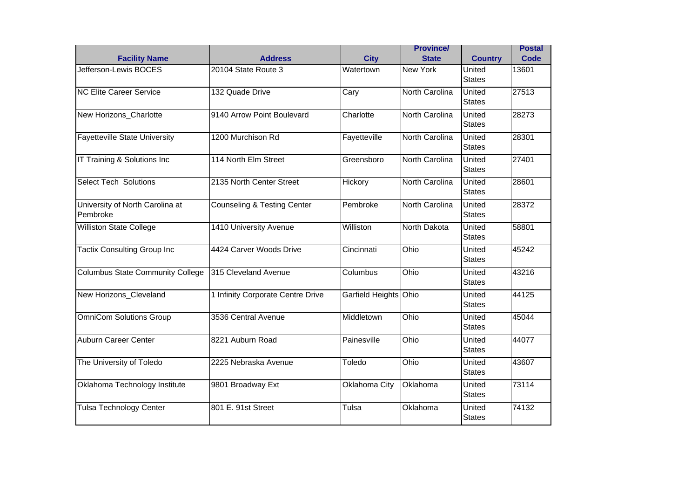|                                             |                                        |                       | <b>Province/</b> |                         | <b>Postal</b> |
|---------------------------------------------|----------------------------------------|-----------------------|------------------|-------------------------|---------------|
| <b>Facility Name</b>                        | <b>Address</b>                         | <b>City</b>           | <b>State</b>     | <b>Country</b>          | Code          |
| Jefferson-Lewis BOCES                       | 20104 State Route 3                    | Watertown             | <b>New York</b>  | United<br><b>States</b> | 13601         |
| <b>NC Elite Career Service</b>              | 132 Quade Drive                        | Cary                  | North Carolina   | United<br><b>States</b> | 27513         |
| New Horizons_Charlotte                      | 9140 Arrow Point Boulevard             | Charlotte             | North Carolina   | United<br><b>States</b> | 28273         |
| <b>Fayetteville State University</b>        | 1200 Murchison Rd                      | Fayetteville          | North Carolina   | United<br><b>States</b> | 28301         |
| IT Training & Solutions Inc                 | 114 North Elm Street                   | Greensboro            | North Carolina   | United<br><b>States</b> | 27401         |
| <b>Select Tech Solutions</b>                | 2135 North Center Street               | Hickory               | North Carolina   | United<br><b>States</b> | 28601         |
| University of North Carolina at<br>Pembroke | <b>Counseling &amp; Testing Center</b> | Pembroke              | North Carolina   | United<br><b>States</b> | 28372         |
| <b>Williston State College</b>              | 1410 University Avenue                 | Williston             | North Dakota     | United<br><b>States</b> | 58801         |
| <b>Tactix Consulting Group Inc</b>          | 4424 Carver Woods Drive                | Cincinnati            | Ohio             | United<br><b>States</b> | 45242         |
| <b>Columbus State Community College</b>     | 315 Cleveland Avenue                   | Columbus              | Ohio             | United<br><b>States</b> | 43216         |
| New Horizons Cleveland                      | 1 Infinity Corporate Centre Drive      | Garfield Heights Ohio |                  | United<br><b>States</b> | 44125         |
| <b>OmniCom Solutions Group</b>              | 3536 Central Avenue                    | Middletown            | Ohio             | United<br><b>States</b> | 45044         |
| <b>Auburn Career Center</b>                 | 8221 Auburn Road                       | Painesville           | Ohio             | United<br><b>States</b> | 44077         |
| The University of Toledo                    | 2225 Nebraska Avenue                   | Toledo                | Ohio             | United<br><b>States</b> | 43607         |
| Oklahoma Technology Institute               | 9801 Broadway Ext                      | Oklahoma City         | Oklahoma         | United<br><b>States</b> | 73114         |
| <b>Tulsa Technology Center</b>              | 801 E. 91st Street                     | Tulsa                 | Oklahoma         | United<br><b>States</b> | 74132         |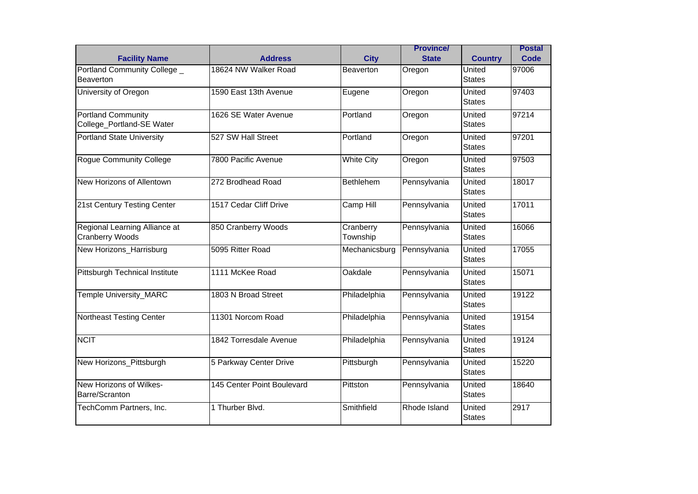|                                                         | <b>Address</b>             |                          | <b>Province/</b><br><b>State</b> |                          | <b>Postal</b><br>Code |
|---------------------------------------------------------|----------------------------|--------------------------|----------------------------------|--------------------------|-----------------------|
| <b>Facility Name</b><br>Portland Community College _    | 18624 NW Walker Road       | <b>City</b><br>Beaverton | Oregon                           | <b>Country</b><br>United | 97006                 |
| <b>Beaverton</b>                                        |                            |                          |                                  | <b>States</b>            |                       |
| University of Oregon                                    | 1590 East 13th Avenue      | Eugene                   | Oregon                           | United<br><b>States</b>  | 97403                 |
| <b>Portland Community</b><br>College_Portland-SE Water  | 1626 SE Water Avenue       | Portland                 | Oregon                           | United<br><b>States</b>  | 97214                 |
| <b>Portland State University</b>                        | 527 SW Hall Street         | Portland                 | Oregon                           | United<br><b>States</b>  | 97201                 |
| <b>Rogue Community College</b>                          | 7800 Pacific Avenue        | <b>White City</b>        | Oregon                           | United<br><b>States</b>  | 97503                 |
| New Horizons of Allentown                               | 272 Brodhead Road          | <b>Bethlehem</b>         | Pennsylvania                     | United<br><b>States</b>  | 18017                 |
| 21st Century Testing Center                             | 1517 Cedar Cliff Drive     | Camp Hill                | Pennsylvania                     | United<br><b>States</b>  | 17011                 |
| Regional Learning Alliance at<br><b>Cranberry Woods</b> | 850 Cranberry Woods        | Cranberry<br>Township    | Pennsylvania                     | United<br><b>States</b>  | 16066                 |
| New Horizons_Harrisburg                                 | 5095 Ritter Road           | Mechanicsburg            | Pennsylvania                     | United<br><b>States</b>  | 17055                 |
| Pittsburgh Technical Institute                          | 1111 McKee Road            | Oakdale                  | Pennsylvania                     | United<br><b>States</b>  | 15071                 |
| Temple University_MARC                                  | 1803 N Broad Street        | Philadelphia             | Pennsylvania                     | United<br><b>States</b>  | 19122                 |
| <b>Northeast Testing Center</b>                         | 11301 Norcom Road          | Philadelphia             | Pennsylvania                     | United<br><b>States</b>  | 19154                 |
| <b>NCIT</b>                                             | 1842 Torresdale Avenue     | Philadelphia             | Pennsylvania                     | United<br><b>States</b>  | 19124                 |
| New Horizons_Pittsburgh                                 | 5 Parkway Center Drive     | Pittsburgh               | Pennsylvania                     | United<br><b>States</b>  | 15220                 |
| New Horizons of Wilkes-<br>Barre/Scranton               | 145 Center Point Boulevard | Pittston                 | Pennsylvania                     | United<br><b>States</b>  | 18640                 |
| TechComm Partners, Inc.                                 | 1 Thurber Blvd.            | Smithfield               | Rhode Island                     | United<br><b>States</b>  | 2917                  |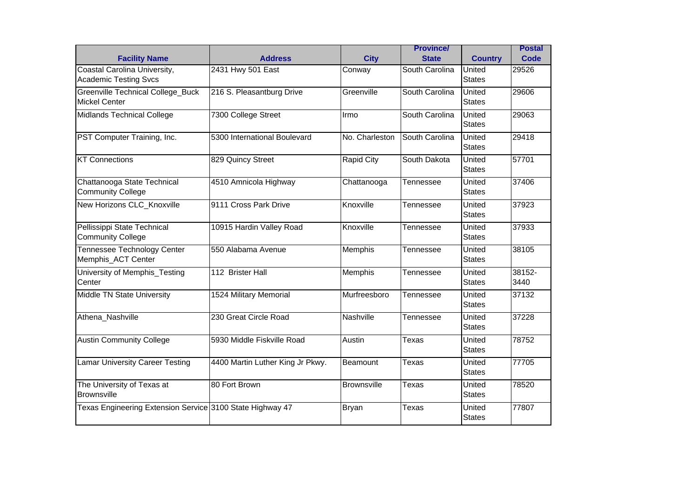| <b>Facility Name</b>                                             | <b>Address</b>                   | <b>City</b>       | <b>Province/</b><br><b>State</b> | <b>Country</b>          | <b>Postal</b><br>Code |
|------------------------------------------------------------------|----------------------------------|-------------------|----------------------------------|-------------------------|-----------------------|
| Coastal Carolina University,<br><b>Academic Testing Svcs</b>     | 2431 Hwy 501 East                | Conway            | South Carolina                   | United<br><b>States</b> | 29526                 |
| <b>Greenville Technical College Buck</b><br><b>Mickel Center</b> | 216 S. Pleasantburg Drive        | Greenville        | South Carolina                   | United<br><b>States</b> | 29606                 |
| <b>Midlands Technical College</b>                                | 7300 College Street              | Ilrmo             | South Carolina                   | United<br><b>States</b> | 29063                 |
| PST Computer Training, Inc.                                      | 5300 International Boulevard     | No. Charleston    | South Carolina                   | United<br><b>States</b> | 29418                 |
| <b>KT Connections</b>                                            | 829 Quincy Street                | <b>Rapid City</b> | South Dakota                     | United<br><b>States</b> | 57701                 |
| Chattanooga State Technical<br><b>Community College</b>          | 4510 Amnicola Highway            | Chattanooga       | <b>Tennessee</b>                 | United<br><b>States</b> | 37406                 |
| New Horizons CLC_Knoxville                                       | 9111 Cross Park Drive            | Knoxville         | Tennessee                        | United<br><b>States</b> | 37923                 |
| Pellissippi State Technical<br><b>Community College</b>          | 10915 Hardin Valley Road         | Knoxville         | Tennessee                        | United<br><b>States</b> | 37933                 |
| Tennessee Technology Center<br>Memphis_ACT Center                | 550 Alabama Avenue               | Memphis           | Tennessee                        | United<br><b>States</b> | 38105                 |
| University of Memphis_Testing<br>Center                          | 112 Brister Hall                 | Memphis           | Tennessee                        | United<br><b>States</b> | 38152-<br>3440        |
| Middle TN State University                                       | 1524 Military Memorial           | Murfreesboro      | Tennessee                        | United<br><b>States</b> | 37132                 |
| Athena_Nashville                                                 | 230 Great Circle Road            | Nashville         | Tennessee                        | United<br><b>States</b> | 37228                 |
| <b>Austin Community College</b>                                  | 5930 Middle Fiskville Road       | Austin            | Texas                            | United<br><b>States</b> | 78752                 |
| <b>Lamar University Career Testing</b>                           | 4400 Martin Luther King Jr Pkwy. | Beamount          | <b>Texas</b>                     | United<br><b>States</b> | 77705                 |
| The University of Texas at<br><b>Brownsville</b>                 | 80 Fort Brown                    | Brownsville       | <b>Texas</b>                     | United<br><b>States</b> | 78520                 |
| Texas Engineering Extension Service 3100 State Highway 47        |                                  | <b>Bryan</b>      | Texas                            | United<br><b>States</b> | 77807                 |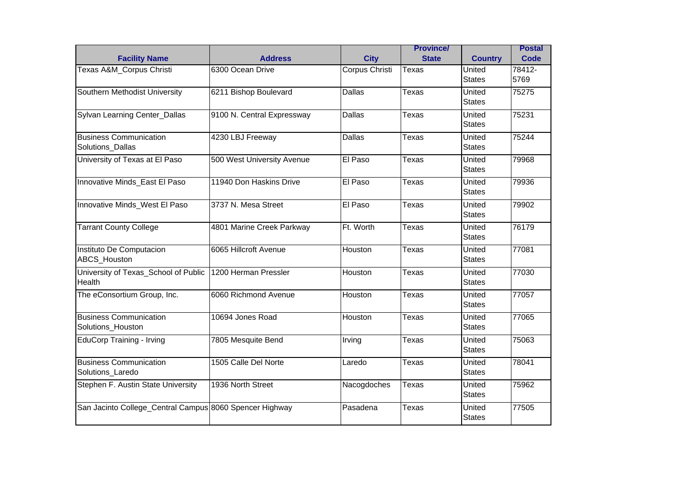| <b>Facility Name</b>                                    | <b>Address</b>             | <b>City</b>    | <b>Province/</b><br><b>State</b> | <b>Country</b>          | <b>Postal</b><br>Code |
|---------------------------------------------------------|----------------------------|----------------|----------------------------------|-------------------------|-----------------------|
| Texas A&M_Corpus Christi                                | 6300 Ocean Drive           | Corpus Christi | Texas                            | United<br><b>States</b> | 78412-<br>5769        |
| Southern Methodist University                           | 6211 Bishop Boulevard      | <b>Dallas</b>  | <b>Texas</b>                     | United<br><b>States</b> | 75275                 |
| Sylvan Learning Center_Dallas                           | 9100 N. Central Expressway | <b>Dallas</b>  | Texas                            | United<br><b>States</b> | 75231                 |
| <b>Business Communication</b><br>Solutions_Dallas       | 4230 LBJ Freeway           | <b>Dallas</b>  | <b>Texas</b>                     | United<br><b>States</b> | 75244                 |
| University of Texas at El Paso                          | 500 West University Avenue | El Paso        | <b>Texas</b>                     | United<br><b>States</b> | 79968                 |
| Innovative Minds_East El Paso                           | 11940 Don Haskins Drive    | El Paso        | Texas                            | United<br><b>States</b> | 79936                 |
| Innovative Minds_West El Paso                           | 3737 N. Mesa Street        | El Paso        | <b>Texas</b>                     | United<br><b>States</b> | 79902                 |
| <b>Tarrant County College</b>                           | 4801 Marine Creek Parkway  | Ft. Worth      | Texas                            | United<br><b>States</b> | 76179                 |
| Instituto De Computacion<br><b>ABCS</b> Houston         | 6065 Hillcroft Avenue      | Houston        | Texas                            | United<br><b>States</b> | 77081                 |
| University of Texas_School of Public<br>Health          | 1200 Herman Pressler       | Houston        | Texas                            | United<br><b>States</b> | 77030                 |
| The eConsortium Group, Inc.                             | 6060 Richmond Avenue       | Houston        | Texas                            | United<br><b>States</b> | 77057                 |
| <b>Business Communication</b><br>Solutions Houston      | 10694 Jones Road           | Houston        | <b>Texas</b>                     | United<br><b>States</b> | 77065                 |
| <b>EduCorp Training - Irving</b>                        | 7805 Mesquite Bend         | Irving         | <b>Texas</b>                     | United<br><b>States</b> | 75063                 |
| <b>Business Communication</b><br>Solutions_Laredo       | 1505 Calle Del Norte       | Laredo         | <b>Texas</b>                     | United<br><b>States</b> | 78041                 |
| Stephen F. Austin State University                      | 1936 North Street          | Nacogdoches    | Texas                            | United<br><b>States</b> | 75962                 |
| San Jacinto College_Central Campus 8060 Spencer Highway |                            | Pasadena       | Texas                            | United<br><b>States</b> | 77505                 |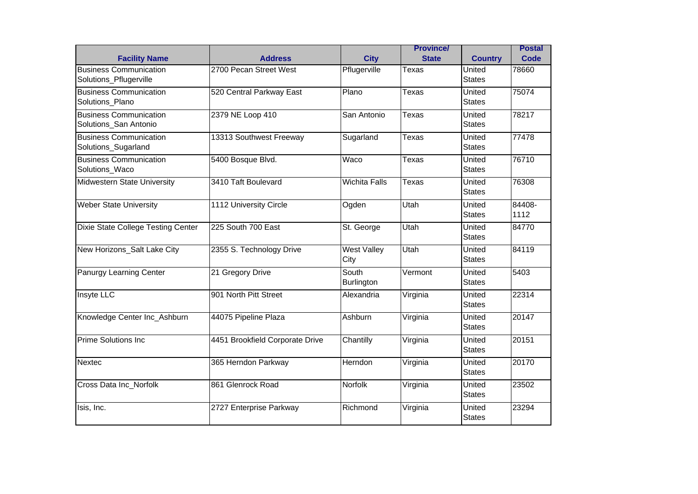| <b>Facility Name</b>                                    | <b>Address</b>                  | <b>City</b>                | <b>Province/</b><br><b>State</b> | <b>Country</b>          | <b>Postal</b><br>Code |
|---------------------------------------------------------|---------------------------------|----------------------------|----------------------------------|-------------------------|-----------------------|
| <b>Business Communication</b><br>Solutions_Pflugerville | 2700 Pecan Street West          | Pflugerville               | Texas                            | United<br><b>States</b> | 78660                 |
| <b>Business Communication</b><br>Solutions Plano        | 520 Central Parkway East        | Plano                      | Texas                            | United<br><b>States</b> | 75074                 |
| <b>Business Communication</b><br>Solutions_San Antonio  | 2379 NE Loop 410                | San Antonio                | <b>Texas</b>                     | United<br><b>States</b> | 78217                 |
| <b>Business Communication</b><br>Solutions_Sugarland    | 13313 Southwest Freeway         | Sugarland                  | <b>Texas</b>                     | United<br><b>States</b> | 77478                 |
| <b>Business Communication</b><br>Solutions_Waco         | 5400 Bosque Blvd.               | Waco                       | <b>Texas</b>                     | United<br><b>States</b> | 76710                 |
| Midwestern State University                             | 3410 Taft Boulevard             | <b>Wichita Falls</b>       | <b>Texas</b>                     | United<br><b>States</b> | 76308                 |
| <b>Weber State University</b>                           | 1112 University Circle          | Ogden                      | Utah                             | United<br><b>States</b> | 84408-<br>1112        |
| Dixie State College Testing Center                      | 225 South 700 East              | St. George                 | Utah                             | United<br><b>States</b> | 84770                 |
| New Horizons_Salt Lake City                             | 2355 S. Technology Drive        | <b>West Valley</b><br>City | Utah                             | United<br><b>States</b> | 84119                 |
| Panurgy Learning Center                                 | 21 Gregory Drive                | South<br>Burlington        | Vermont                          | United<br><b>States</b> | 5403                  |
| Insyte LLC                                              | 901 North Pitt Street           | Alexandria                 | Virginia                         | United<br><b>States</b> | 22314                 |
| Knowledge Center Inc_Ashburn                            | 44075 Pipeline Plaza            | Ashburn                    | Virginia                         | United<br><b>States</b> | 20147                 |
| <b>Prime Solutions Inc.</b>                             | 4451 Brookfield Corporate Drive | Chantilly                  | Virginia                         | United<br><b>States</b> | 20151                 |
| Nextec                                                  | 365 Herndon Parkway             | Herndon                    | Virginia                         | United<br><b>States</b> | 20170                 |
| Cross Data Inc_Norfolk                                  | 861 Glenrock Road               | <b>Norfolk</b>             | Virginia                         | United<br><b>States</b> | 23502                 |
| Isis, Inc.                                              | 2727 Enterprise Parkway         | Richmond                   | Virginia                         | United<br><b>States</b> | 23294                 |